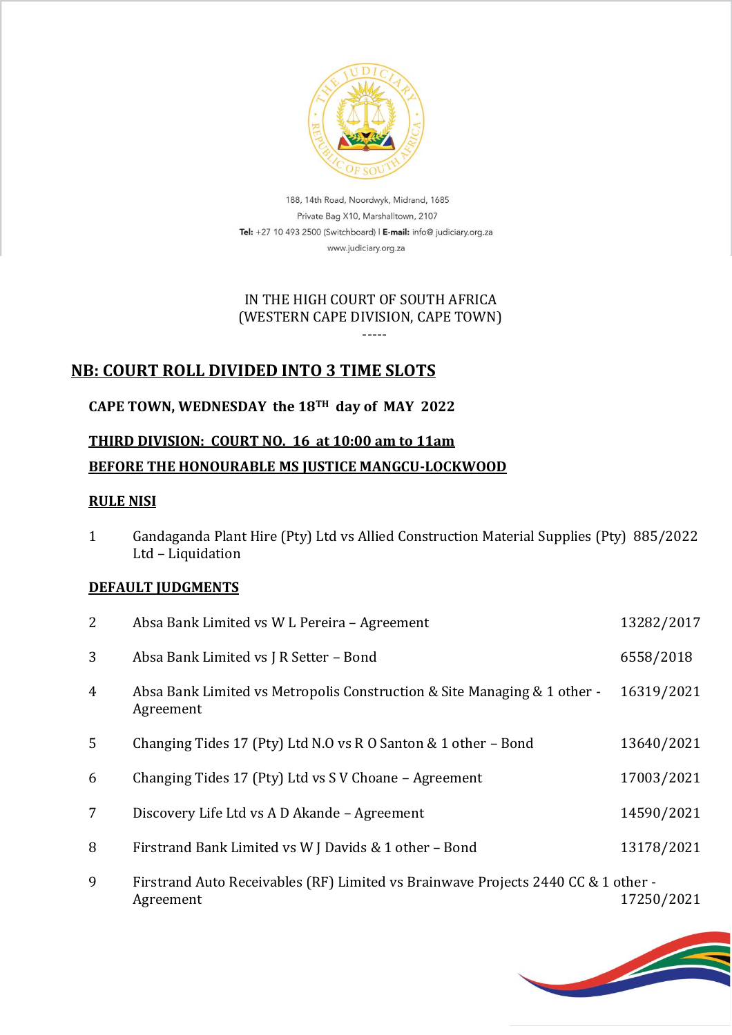

188, 14th Road, Noordwyk, Midrand, 1685 Private Bag X10, Marshalltown, 2107 Tel: +27 10 493 2500 (Switchboard) | E-mail: info@ judiciary.org.za www.judiciary.org.za

## IN THE HIGH COURT OF SOUTH AFRICA (WESTERN CAPE DIVISION, CAPE TOWN)

-----

## **NB: COURT ROLL DIVIDED INTO 3 TIME SLOTS**

## **CAPE TOWN, WEDNESDAY the 18TH day of MAY 2022**

# **THIRD DIVISION: COURT NO. 16 at 10:00 am to 11am BEFORE THE HONOURABLE MS JUSTICE MANGCU-LOCKWOOD**

### **RULE NISI**

1 Gandaganda Plant Hire (Pty) Ltd vs Allied Construction Material Supplies (Pty) 885/2022 Ltd – Liquidation

### **DEFAULT JUDGMENTS**

| 2              | Absa Bank Limited vs W L Pereira - Agreement                                                   | 13282/2017 |
|----------------|------------------------------------------------------------------------------------------------|------------|
| 3              | Absa Bank Limited vs J R Setter - Bond                                                         | 6558/2018  |
| $\overline{4}$ | Absa Bank Limited vs Metropolis Construction & Site Managing & 1 other -<br>Agreement          | 16319/2021 |
| $5^{\circ}$    | Changing Tides 17 (Pty) Ltd N.O vs R O Santon & 1 other - Bond                                 | 13640/2021 |
| 6              | Changing Tides 17 (Pty) Ltd vs S V Choane - Agreement                                          | 17003/2021 |
| 7              | Discovery Life Ltd vs A D Akande – Agreement                                                   | 14590/2021 |
| 8              | Firstrand Bank Limited vs W J Davids & 1 other - Bond                                          | 13178/2021 |
| 9              | Firstrand Auto Receivables (RF) Limited vs Brainwave Projects 2440 CC & 1 other -<br>Agreement | 17250/2021 |

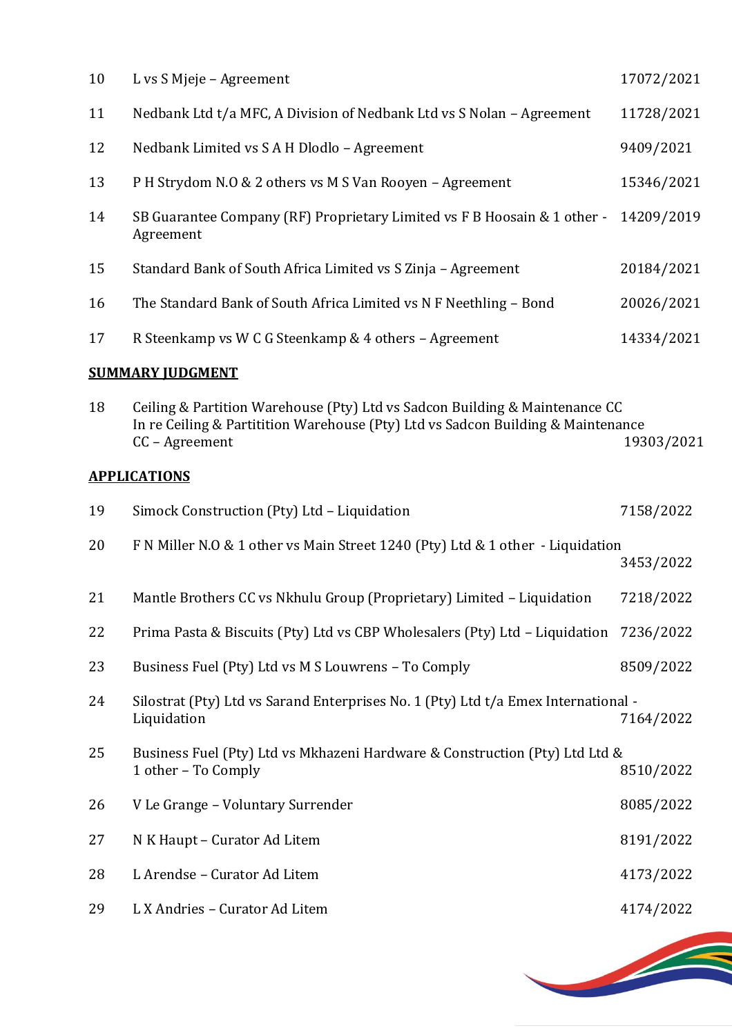| 10 | L vs S Mjeje – Agreement                                                              | 17072/2021 |
|----|---------------------------------------------------------------------------------------|------------|
| 11 | Nedbank Ltd t/a MFC, A Division of Nedbank Ltd vs S Nolan - Agreement                 | 11728/2021 |
| 12 | Nedbank Limited vs S A H Dlodlo - Agreement                                           | 9409/2021  |
| 13 | P H Strydom N.O & 2 others vs M S Van Rooyen - Agreement                              | 15346/2021 |
| 14 | SB Guarantee Company (RF) Proprietary Limited vs F B Hoosain & 1 other -<br>Agreement | 14209/2019 |
| 15 | Standard Bank of South Africa Limited vs S Zinja - Agreement                          | 20184/2021 |
| 16 | The Standard Bank of South Africa Limited vs N F Neethling - Bond                     | 20026/2021 |
| 17 | R Steenkamp vs W C G Steenkamp & 4 others - Agreement                                 | 14334/2021 |

## **SUMMARY JUDGMENT**

| 18 | Ceiling & Partition Warehouse (Pty) Ltd vs Sadcon Building & Maintenance CC<br>In re Ceiling & Partitition Warehouse (Pty) Ltd vs Sadcon Building & Maintenance<br>CC - Agreement | 19303/2021 |
|----|-----------------------------------------------------------------------------------------------------------------------------------------------------------------------------------|------------|
|    | <b>APPLICATIONS</b>                                                                                                                                                               |            |
| 19 | Simock Construction (Pty) Ltd - Liquidation                                                                                                                                       | 7158/2022  |
| 20 | F N Miller N.O & 1 other vs Main Street 1240 (Pty) Ltd & 1 other - Liquidation                                                                                                    | 3453/2022  |
| 21 | Mantle Brothers CC vs Nkhulu Group (Proprietary) Limited - Liquidation                                                                                                            | 7218/2022  |
| 22 | Prima Pasta & Biscuits (Pty) Ltd vs CBP Wholesalers (Pty) Ltd - Liquidation                                                                                                       | 7236/2022  |
| 23 | Business Fuel (Pty) Ltd vs M S Louwrens - To Comply                                                                                                                               | 8509/2022  |
| 24 | Silostrat (Pty) Ltd vs Sarand Enterprises No. 1 (Pty) Ltd t/a Emex International -<br>Liquidation                                                                                 | 7164/2022  |
| 25 | Business Fuel (Pty) Ltd vs Mkhazeni Hardware & Construction (Pty) Ltd Ltd &<br>1 other - To Comply                                                                                | 8510/2022  |
| 26 | V Le Grange - Voluntary Surrender                                                                                                                                                 | 8085/2022  |
| 27 | N K Haupt - Curator Ad Litem                                                                                                                                                      | 8191/2022  |
| 28 | L Arendse - Curator Ad Litem                                                                                                                                                      | 4173/2022  |

L X Andries – Curator Ad Litem 4174/2022

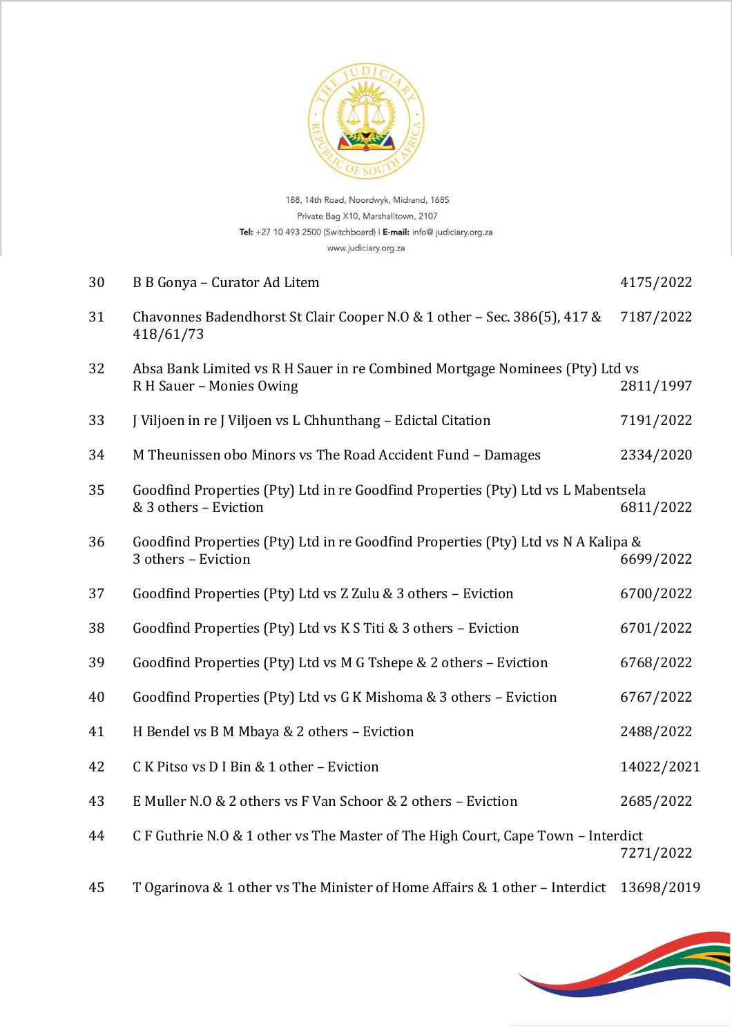

188, 14th Road, Noordwyk, Midrand, 1685 Private Bag X10, Marshalltown, 2107 Tel: +27 10 493 2500 (Switchboard) | E-mail: info@ judiciary.org.za www.judiciary.org.za

| 30 | B B Gonya - Curator Ad Litem                                                                               | 4175/2022  |
|----|------------------------------------------------------------------------------------------------------------|------------|
| 31 | Chavonnes Badendhorst St Clair Cooper N.O & 1 other - Sec. 386(5), 417 &<br>418/61/73                      | 7187/2022  |
| 32 | Absa Bank Limited vs R H Sauer in re Combined Mortgage Nominees (Pty) Ltd vs<br>R H Sauer - Monies Owing   | 2811/1997  |
| 33 | J Viljoen in re J Viljoen vs L Chhunthang - Edictal Citation                                               | 7191/2022  |
| 34 | M Theunissen obo Minors vs The Road Accident Fund - Damages                                                | 2334/2020  |
| 35 | Goodfind Properties (Pty) Ltd in re Goodfind Properties (Pty) Ltd vs L Mabentsela<br>& 3 others - Eviction | 6811/2022  |
| 36 | Goodfind Properties (Pty) Ltd in re Goodfind Properties (Pty) Ltd vs N A Kalipa &<br>3 others - Eviction   | 6699/2022  |
| 37 | Goodfind Properties (Pty) Ltd vs Z Zulu & 3 others - Eviction                                              | 6700/2022  |
| 38 | Goodfind Properties (Pty) Ltd vs K S Titi & 3 others - Eviction                                            | 6701/2022  |
| 39 | Goodfind Properties (Pty) Ltd vs M G Tshepe & 2 others - Eviction                                          | 6768/2022  |
| 40 | Goodfind Properties (Pty) Ltd vs G K Mishoma & 3 others - Eviction                                         | 6767/2022  |
| 41 | H Bendel vs B M Mbaya & 2 others - Eviction                                                                | 2488/2022  |
| 42 | C K Pitso vs D I Bin & 1 other - Eviction                                                                  | 14022/2021 |
| 43 | E Muller N.O & 2 others vs F Van Schoor & 2 others - Eviction                                              | 2685/2022  |
| 44 | C F Guthrie N.O & 1 other vs The Master of The High Court, Cape Town - Interdict                           | 7271/2022  |
| 45 | T Ogarinova & 1 other vs The Minister of Home Affairs & 1 other - Interdict                                | 13698/2019 |

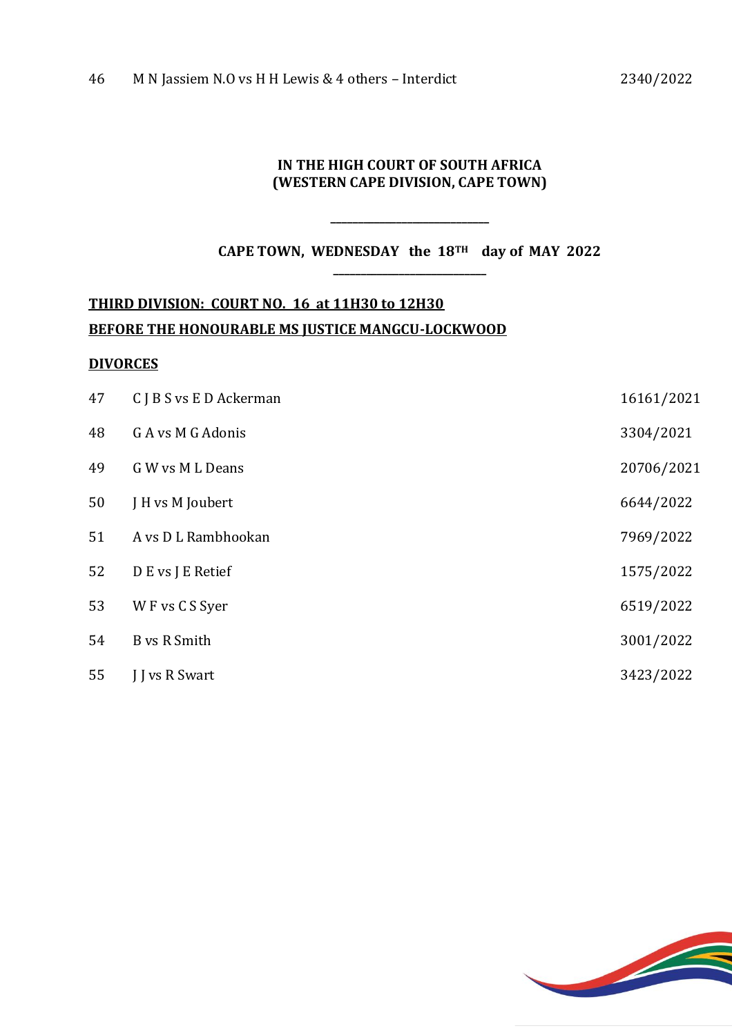#### **IN THE HIGH COURT OF SOUTH AFRICA (WESTERN CAPE DIVISION, CAPE TOWN)**

**CAPE TOWN, WEDNESDAY the 18TH day of MAY 2022 \_\_\_\_\_\_\_\_\_\_\_\_\_\_\_\_\_\_\_\_\_\_\_\_\_\_\_\_**

**\_\_\_\_\_\_\_\_\_\_\_\_\_\_\_\_\_\_\_\_\_\_\_\_\_\_\_\_\_**

# **THIRD DIVISION: COURT NO. 16 at 11H30 to 12H30 BEFORE THE HONOURABLE MS JUSTICE MANGCU-LOCKWOOD**

#### **DIVORCES**

| 47 | C J B S vs E D Ackerman | 16161/2021 |
|----|-------------------------|------------|
| 48 | G A vs M G Adonis       | 3304/2021  |
| 49 | G W vs M L Deans        | 20706/2021 |
| 50 | J H vs M Joubert        | 6644/2022  |
| 51 | A vs D L Rambhookan     | 7969/2022  |
| 52 | D E vs J E Retief       | 1575/2022  |
| 53 | W F vs C S Syer         | 6519/2022  |
| 54 | <b>B</b> vs R Smith     | 3001/2022  |
| 55 | <b>I</b> J vs R Swart   | 3423/2022  |
|    |                         |            |